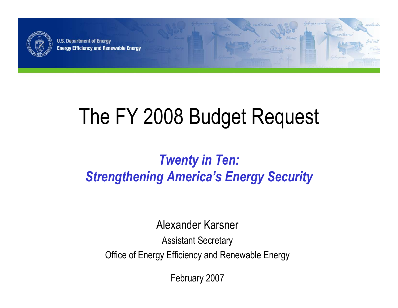

**U.S. Department of Energy Energy Efficiency and Renewable Energy** 

# The FY 2008 Budget Request

### *Twenty in Ten: Strengthening America's Energy Security*

Alexander Karsner

Assistant Secretary

Office of Energy Efficiency and Renewable Energy

February 2007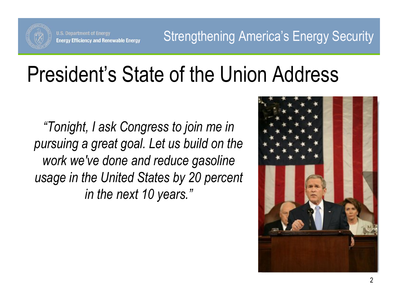

# President's State of the Union Address

*"Tonight, I ask Congress to join me in pursuing a great goal. Let us build on the work we've done and reduce gasoline usage in the United States by 20 percent in the next 10 years."*

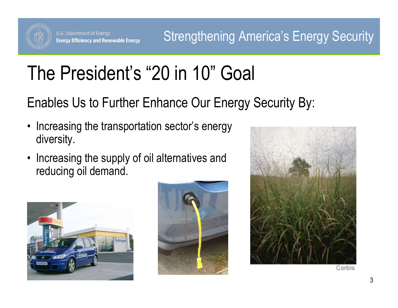

Strengthening America's Energy Security

# The President's "20 in 10" Goal

Enables Us to Further Enhance Our Energy Security By:

- • Increasing the transportation sector's energy diversity.
- Increasing the supply of oil alternatives and reducing oil demand.





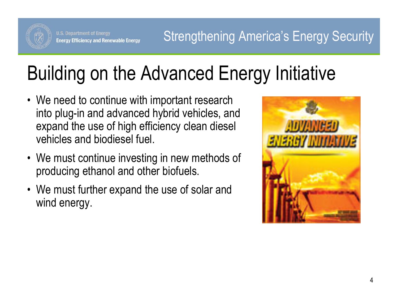

# Building on the Advanced Energy Initiative

- We need to continue with important research into plug-in and advanced hybrid vehicles, and expand the use of high efficiency clean diesel vehicles and biodiesel fuel.
- We must continue investing in new methods of producing ethanol and other biofuels.
- We must further expand the use of solar and wind energy.

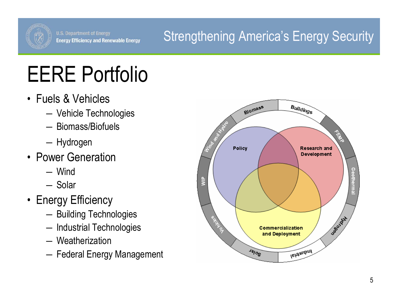

### Strengthening America's Energy Security

# EERE Portfolio

- Fuels & Vehicles
	- ―Vehicle Technologies
	- ― Biomass/Biofuels
	- **Note that the common** Hydrogen
- Power Generation
	- ― Wind
	- ― Solar
- Energy Efficiency
	- ―Building Technologies
	- **Note that the common** - Industrial Technologies
	- ― Weatherization
	- ―Federal Energy Management

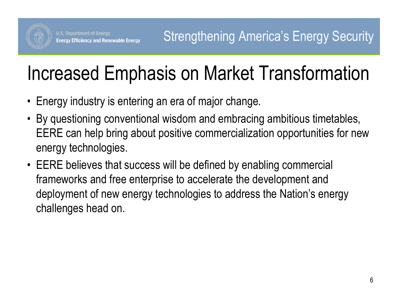

# Increased Emphasis on Market Transformation

- •Energy industry is entering an era of major change.
- By questioning conventional wisdom and embracing ambitious timetables, EERE can help bring about positive commercialization opportunities for new energy technologies.
- EERE believes that success will be defined by enabling commercial frameworks and free enterprise to accelerate the development and deployment of new energy technologies to address the Nation's energy challenges head on.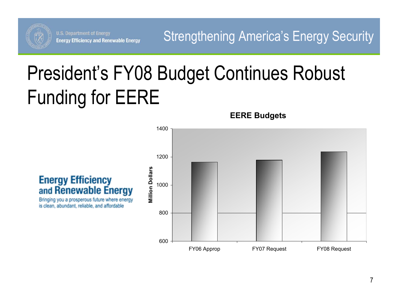

Strengthening America's Energy Security

# President's FY08 Budget Continues Robust Funding for EERE

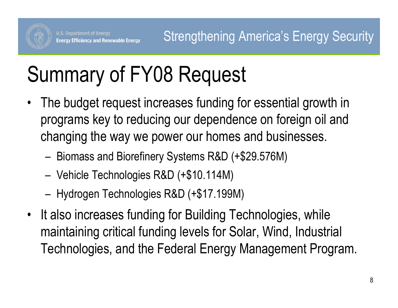

# Summary of FY08 Request

- • The budget request increases funding for essential growth in programs key to reducing our dependence on foreign oil and changing the way we power our homes and businesses.
	- Biomass and Biorefinery Systems R&D (+\$29.576M)
	- Vehicle Technologies R&D (+\$10.114M)
	- Hydrogen Technologies R&D (+\$17.199M)
- •It also increases funding for Building Technologies, while maintaining critical funding levels for Solar, Wind, Industrial Technologies, and the Federal Energy Management Program.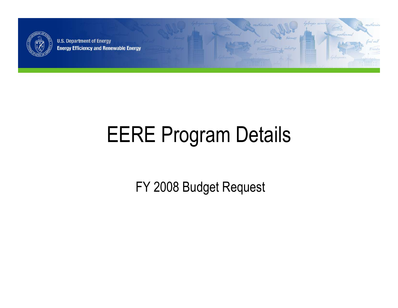

**U.S. Department of Energy Energy Efficiency and Renewable Energy** 

# EERE Program Details

market

act cel

restheric

FY 2008 Budget Request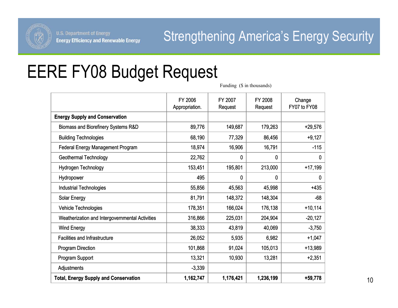

# EERE FY08 Budget Request

Funding (\$ in thousands)

|                                                 | FY 2006<br>Appropriation. | FY 2007<br>Request | FY 2008<br>Request | Change<br>FY07 to FY08 |
|-------------------------------------------------|---------------------------|--------------------|--------------------|------------------------|
| <b>Energy Supply and Conservation</b>           |                           |                    |                    |                        |
| Biomass and Biorefinery Systems R&D             | 89,776                    | 149,687            | 179,263            | $+29,576$              |
| <b>Building Technologies</b>                    | 68,190                    | 77,329             | 86,456             | $+9,127$               |
| <b>Federal Energy Management Program</b>        | 18,974                    | 16,906             | 16,791             | $-115$                 |
| <b>Geothermal Technology</b>                    | 22,762                    | 0                  | 0                  | 0                      |
| Hydrogen Technology                             | 153,451                   | 195,801            | 213,000            | $+17,199$              |
| Hydropower                                      | 495                       | 0                  | 0                  | 0                      |
| <b>Industrial Technologies</b>                  | 55,856                    | 45,563             | 45,998             | $+435$                 |
| <b>Solar Energy</b>                             | 81,791                    | 148,372            | 148,304            | $-68$                  |
| Vehicle Technologies                            | 178,351                   | 166,024            | 176,138            | $+10,114$              |
| Weatherization and Intergovernmental Activities | 316,866                   | 225,031            | 204,904            | $-20,127$              |
| <b>Wind Energy</b>                              | 38,333                    | 43,819             | 40,069             | $-3,750$               |
| <b>Facilities and Infrastructure</b>            | 26,052                    | 5,935              | 6,982              | $+1,047$               |
| <b>Program Direction</b>                        | 101,868                   | 91,024             | 105,013            | +13,989                |
| Program Support                                 | 13,321                    | 10,930             | 13,281             | $+2,351$               |
| Adjustments                                     | $-3,339$                  |                    |                    |                        |
| <b>Total, Energy Supply and Conservation</b>    | 1,162,747                 | 1,176,421          | 1,236,199          | +59,778                |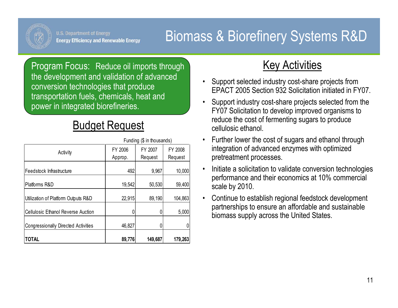

### Biomass & Biorefinery Systems R&D

Program Focus: Reduce oil imports through the development and validation of advanced conversion technologies that produce transportation fuels, chemicals, heat and power in integrated biorefineries.

### Budget Request

|                                            | Funding (\$ in thousands) |         |         |
|--------------------------------------------|---------------------------|---------|---------|
| Activity                                   | FY 2006                   | FY 2007 | FY 2008 |
|                                            | Approp.                   | Request | Request |
| Feedstock Infrastructure                   | 492                       | 9,967   | 10,000  |
| Platforms R&D                              | 19,542                    | 50,530  | 59,400  |
| Utilization of Platform Outputs R&D        | 22,915                    | 89,190  | 104,863 |
| <b>Cellulosic Ethanol Reverse Auction</b>  |                           |         | 5,000   |
| <b>Congressionally Directed Activities</b> | 46,827                    |         |         |
| <b>TOTAL</b>                               | 89,776                    | 149,687 | 179,263 |

- • Support selected industry cost-share projects from EPACT 2005 Section 932 Solicitation initiated in FY07.
- • Support industry cost-share projects selected from the FY07 Solicitation to develop improved organisms to reduce the cost of fermenting sugars to produce cellulosic ethanol.
- • Further lower the cost of sugars and ethanol through integration of advanced enzymes with optimized pretreatment processes.
- • Initiate a solicitation to validate conversion technologies performance and their economics at 10% commercial scale by 2010.
- • Continue to establish regional feedstock development partnerships to ensure an affordable and sustainable biomass supply across the United States.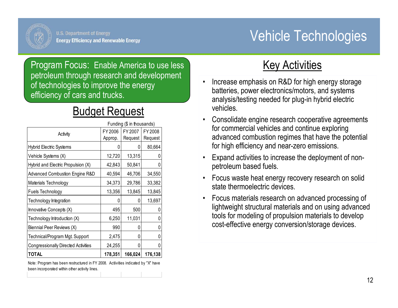

### Vehicle Technologies

Program Focus: Enable America to use less petroleum through research and development of technologies to improve the energy efficiency of cars and trucks.

#### Budget Request

| Funding (\$ in thousands)                  |         |         |         |
|--------------------------------------------|---------|---------|---------|
| Activity                                   | FY 2006 | FY 2007 | FY 2008 |
|                                            | Approp. | Request | Request |
| <b>Hybrid Electric Systems</b>             |         | 0       | 80,664  |
| Vehicle Systems (X)                        | 12,720  | 13,315  | 0       |
| Hybrid and Electric Propulsion (X)         | 42,843  | 50,841  | 0       |
| <b>Advanced Combustion Engine R&amp;D</b>  | 40,594  | 46,706  | 34,550  |
| Materials Technology                       | 34,373  | 29,786  | 33,382  |
| Fuels Technology                           | 13,356  | 13,845  | 13,845  |
| Technology Integration                     |         | 0       | 13,697  |
| Innovative Concepts (X)                    | 495     | 500     | 0       |
| Technology Introduction (X)                | 6,250   | 11,031  | 0       |
| Biennial Peer Reviews (X)                  | 990     | 0       | 0       |
| Technical/Program Mgt. Support             | 2,475   | 0       | 0       |
| <b>Congressionally Directed Activities</b> | 24,255  | 0       | 0       |
| <b>TOTAL</b>                               | 178,351 | 166,024 | 176,138 |

Note: Program has been restructured in FY 2008. Actiivities indicated by "X" have been incorporated within other activity lines.

- • Increase emphasis on R&D for high energy storage batteries, power electronics/motors, and systems analysis/testing needed for plug-in hybrid electric vehicles.
- • Consolidate engine research cooperative agreements for commercial vehicles and continue exploring advanced combustion regimes that have the potential for high efficiency and near-zero emissions.
- $\bullet$  Expand activities to increase the deployment of nonpetroleum based fuels.
- Focus waste heat energy recovery research on solid state thermoelectric devices.
- • Focus materials research on advanced processing of lightweight structural materials and on using advanced tools for modeling of propulsion materials to develop cost-effective energy conversion/storage devices.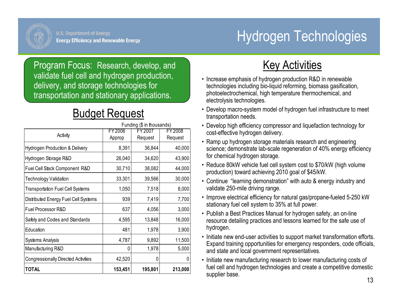

# Hydrogen Technologies

Program Focus: Research, develop, and validate fuel cell and hydrogen production, delivery, and storage technologies for transportation and stationary applications.

#### Budget Request

| <b>TOTAL</b>                                               | 153,451 | 195,801 | 213,000 |  |
|------------------------------------------------------------|---------|---------|---------|--|
| <b>Congressionally Directed Activities</b>                 | 42,520  | 0       | 0       |  |
| Manufacturing R&D                                          | 0       | 1,978   | 5,000   |  |
| <b>Systems Analysis</b>                                    | 4,787   | 9,892   | 11,500  |  |
| Education                                                  | 481     | 1,978   | 3,900   |  |
| Safety and Codes and Standards                             | 4,595   | 13,848  | 16,000  |  |
| Fuel Processor R&D                                         | 637     | 4,056   | 3,000   |  |
| Distributed Energy Fuel Cell Systems                       | 939     | 7,419   | 7,700   |  |
| <b>Transportation Fuel Cell Systems</b>                    | 1,050   | 7,518   | 8,000   |  |
| Technology Validation                                      | 33,301  | 39,566  | 30,000  |  |
| Fuel Cell Stack Component R&D                              | 30,710  | 38,082  | 44,000  |  |
| Hydrogen Storage R&D                                       | 26,040  | 34,620  | 43,900  |  |
| Hydrogen Production & Delivery                             | 8,391   | 36,844  | 40,000  |  |
| Activity                                                   | Approp  | Request | Request |  |
| Funding (\$ in thousands)<br>FY 2006<br>FY 2008<br>FY 2007 |         |         |         |  |

- Increase emphasis of hydrogen production R&D in renewable technologies including bio-liquid reforming, biomass gasification, photoelectrochemical, high temperature thermochemical, and electrolysis technologies.
- Develop macro-system model of hydrogen fuel infrastructure to meet transportation needs.
- Develop high efficiency compressor and liquefaction technology for cost-effective hydrogen delivery.
- Ramp up hydrogen storage materials research and engineering science; demonstrate lab-scale regeneration of 40% energy efficiency for chemical hydrogen storage.
- Reduce 80kW vehicle fuel cell system cost to \$70/kW (high volume production) toward achieving 2010 goal of \$45/kW.
- Continue "learning demonstration" with auto & energy industry and validate 250-mile driving range.
- Improve electrical efficiency for natural gas/propane-fueled 5-250 kW stationary fuel cell system to 35% at full power.
- Publish a Best Practices Manual for hydrogen safety, an on-line resource detailing practices and lessons learned for the safe use of hydrogen.
- Initiate new end-user activities to support market transformation efforts. Expand training opportunities for emergency responders, code officials, and state and local government representatives.
- Initiate new manufacturing research to lower manufacturing costs of fuel cell and hydrogen technologies and create a competitive domestic supplier base.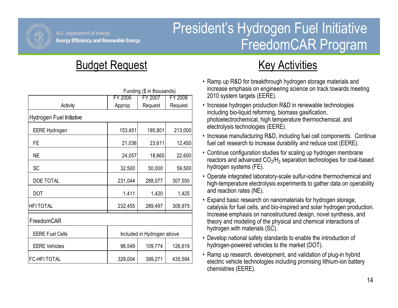

### President's Hydrogen Fuel Initiative FreedomCAR Program

#### **Budget Request Contract Contract Request Activities**

|                          | Funding (\$ in thousands)  |         |         |  |
|--------------------------|----------------------------|---------|---------|--|
|                          | FY 2006                    | FY 2007 | FY 2008 |  |
| Activity                 | Approp                     | Request | Request |  |
| Hydrogen Fuel Initiative |                            |         |         |  |
| <b>EERE Hydrogen</b>     | 153,451                    | 195,801 | 213,000 |  |
| <b>FE</b>                | 21,036                     | 23,611  | 12,450  |  |
| <b>NE</b>                | 24,057                     | 18,665  | 22,600  |  |
| <b>SC</b>                | 32,500                     | 50,000  | 59,500  |  |
| DOE TOTAL                | 231,044                    | 288,077 | 307,550 |  |
| <b>DOT</b>               | 1,411                      | 1,420   | 1,425   |  |
| <b>HFITOTAL</b>          | 232,455                    | 289,497 | 308,975 |  |
| FreedomCAR               |                            |         |         |  |
| <b>EERE Fuel Cells</b>   | Included in Hydrogen above |         |         |  |
| <b>EERE Vehicles</b>     | 96,549                     | 109,774 | 126,619 |  |
| <b>FC-HFITOTAL</b>       | 329,004                    | 399,271 | 435,594 |  |

- Ramp up R&D for breakthrough hydrogen storage materials and increase emphasis on engineering science on track towards meeting 2010 system targets (EERE).
- Increase hydrogen production R&D in renewable technologies including bio-liquid reforming, biomass gasification, photoelectrochemical, high temperature thermochemical, and electrolysis technologies (EERE).
- Increase manufacturing R&D, including fuel cell components. Continue fuel cell research to increase durability and reduce cost (EERE).
- Continue configuration studies for scaling up hydrogen membrane reactors and advanced CO $_2$ /H $_2$  separation technologies for coal-based hydrogen systems (FE).
- Operate integrated laboratory-scale sulfur-iodine thermochemical and high-temperature electrolysis experiments to gather data on operability and reaction rates (NE).
- Expand basic research on nanomaterials for hydrogen storage, catalysis for fuel cells, and bio-inspired and solar hydrogen production. Increase emphasis on nanostructured design, novel synthesis, and theory and modeling of the physical and chemical interactions of hydrogen with materials (SC).
- Develop national safety standards to enable the introduction of hydrogen-powered vehicles to the market (DOT).
- Ramp up research, development, and validation of plug-in hybrid electric vehicle technologies including promising lithium-ion battery chemistries (EERE).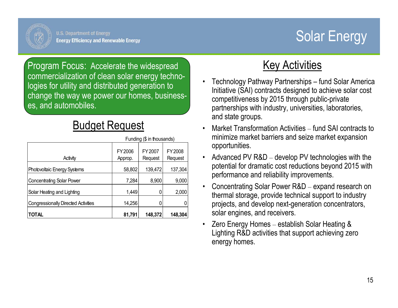

## Solar Energy

Program Focus: Accelerate the widespread commercialization of clean solar energy technologies for utility and distributed generation to change the way we power our homes, businesses, and automobiles.

### Budget Request

|                                            | Funding (\$ in thousands) |                    |                    |
|--------------------------------------------|---------------------------|--------------------|--------------------|
| Activity                                   | FY 2006<br>Approp.        | FY 2007<br>Request | FY 2008<br>Request |
| Photovoltaic Energy Systems                | 58,802                    | 139,472            | 137,304            |
| <b>Concentrating Solar Power</b>           | 7,284                     | 8,900              | 9,000              |
| Solar Heating and Lighting                 | 1,449                     |                    | 2,000              |
| <b>Congressionally Directed Activities</b> | 14,256                    |                    |                    |
| <b>TOTAL</b>                               | 81,791                    | 148,372            | 148,304            |

- • Technology Pathway Partnerships – fund Solar America Initiative (SAI) contracts designed to achieve solar cost competitiveness by 2015 through public-private partnerships with industry, universities, laboratories, and state groups.
- • Market Transformation Activities – fund SAI contracts to minimize market barriers and seize market expansion opportunities.
- $\bullet$  Advanced PV R&D – develop PV technologies with the potential for dramatic cost reductions beyond 2015 with performance and reliability improvements.
- Concentrating Solar Power R&D expand research on thermal storage, provide technical support to industry projects, and develop next-generation concentrators, solar engines, and receivers.
- • Zero Energy Homes – establish Solar Heating & Lighting R&D activities that support achieving zero energy homes.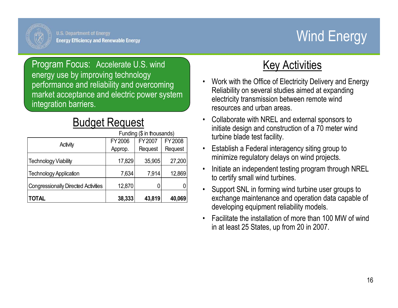# Wind Energy

Program Focus: Accelerate U.S. wind energy use by improving technology performance and reliability and overcoming market acceptance and electric power system integration barriers.

#### Budget Request

|                                            | Funding (\$ in thousands) |         |         |
|--------------------------------------------|---------------------------|---------|---------|
|                                            | FY2006                    | FY 2007 | FY 2008 |
| Activity                                   | Approp.                   | Request | Request |
| <b>Technology Viability</b>                | 17,829                    | 35,905  | 27,200  |
| <b>Technology Application</b>              | 7,634                     | 7,914   | 12,869  |
| <b>Congressionally Directed Activities</b> | 12,870                    |         |         |
| <b>TOTAL</b>                               | 38,333                    | 43,819  | 40,069  |

- • Work with the Office of Electricity Delivery and Energy Reliability on several studies aimed at expanding electricity transmission between remote wind resources and urban areas.
- • Collaborate with NREL and external sponsors to initiate design and construction of a 70 meter wind turbine blade test facility.
- • Establish a Federal interagency siting group to minimize regulatory delays on wind projects.
- $\bullet$  Initiate an independent testing program through NREL to certify small wind turbines.
- • Support SNL in forming wind turbine user groups to exchange maintenance and operation data capable of developing equipment reliability models.
- • Facilitate the installation of more than 100 MW of wind in at least 25 States, up from 20 in 2007.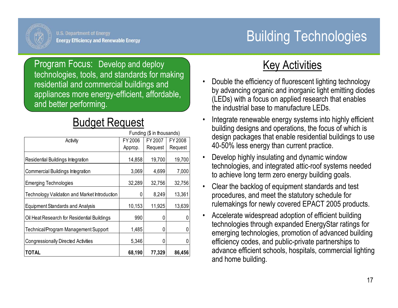# Building Technologies

Program Focus: Develop and deploy technologies, tools, and standards for making residential and commercial buildings and appliances more energy-efficient, affordable, and better performing.

#### Budget Request

|                                                      | Funding (\$ in thousands) |         |         |
|------------------------------------------------------|---------------------------|---------|---------|
| Activity                                             | FY 2006                   | FY 2007 | FY 2008 |
|                                                      | Approp.                   | Request | Request |
| Residential Buildings Integration                    | 14,858                    | 19,700  | 19,700  |
| Commercial Buildings Integration                     | 3,069                     | 4,699   | 7,000   |
| <b>Emerging Technologies</b>                         | 32,289                    | 32,756  | 32,756  |
| <b>Technology Validation and Market Introduction</b> | 0                         | 8,249   | 13,361  |
| <b>Equipment Standards and Analysis</b>              | 10,153                    | 11,925  | 13,639  |
| Oil Heat Research for Residential Buildings          | 990                       | C       |         |
| Technical/Program Management Support                 | 1,485                     | 0       |         |
| <b>Congressionally Directed Activities</b>           | 5,346                     |         |         |
| TOTAL                                                | 68,190                    | 77,329  | 86,456  |

- • Double the efficiency of fluorescent lighting technology by advancing organic and inorganic light emitting diodes (LEDs) with a focus on applied research that enables the industrial base to manufacture LEDs.
- • Integrate renewable energy systems into highly efficient building designs and operations, the focus of which is design packages that enable residential buildings to use 40-50% less energy than current practice.
- • Develop highly insulating and dynamic window technologies, and integrated attic-roof systems needed to achieve long term zero energy building goals.
- • Clear the backlog of equipment standards and test procedures, and meet the statutory schedule for rulemakings for newly covered EPACT 2005 products.
- • Accelerate widespread adoption of efficient building technologies through expanded EnergyStar ratings for emerging technologies, promotion of advanced building efficiency codes, and public-private partnerships to advance efficient schools, hospitals, commercial lighting and home building.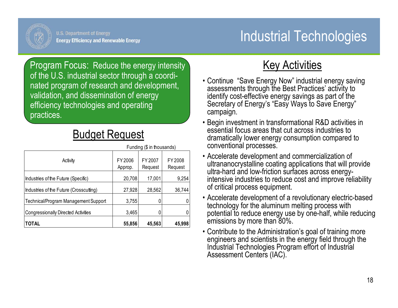

Program Focus: Reduce the energy intensity of the U.S. industrial sector through a coordinated program of research and development, validation, and dissemination of energy efficiency technologies and operating practices.

#### Budget Request

|                                            | Funding (\$ in thousands) |                    |                    |
|--------------------------------------------|---------------------------|--------------------|--------------------|
| Activity                                   | FY 2006<br>Approp.        | FY 2007<br>Request | FY 2008<br>Request |
| Industries of the Future (Specific)        | 20,708                    | 17,001             | 9,254              |
| Industries of the Future (Crosscutting)    | 27,928                    | 28,562             | 36,744             |
| Technical/Program Management Support       | 3,755                     |                    |                    |
| <b>Congressionally Directed Activities</b> | 3,465                     |                    |                    |
| <b>TOTAL</b>                               | 55,856                    | 45,563             | 45,998             |

- Continue "Save Energy Now" industrial energy saving assessments through the Best Practices' activity to identify cost-effective energy savings as part of the Secretary of Energy's "Easy Ways to Save Energy" campaign.
- Begin investment in transformational R&D activities in essential focus areas that cut across industries to dramatically lower energy consumption compared to conventional processes.
- Accelerate development and commercialization of ultrananocrystalline coating applications that will provide ultra-hard and low-friction surfaces across energyintensive industries to reduce cost and improve reliability of critical process equipment.
- Accelerate development of a revolutionary electric-based technology for the aluminum melting process with potential to reduce energy use by one-half, while reducing emissions by more than 80%.
- Contribute to the Administration's goal of training more engineers and scientists in the energy field through the Industrial Technologies Program effort of Industrial Assessment Centers (IAC).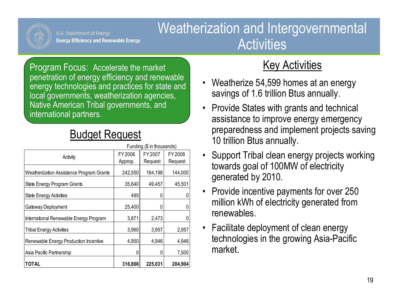

### Weatherization and Intergovernmental Activities

Program Focus: Accelerate the market penetration of energy efficiency and renewable energy technologies and practices for state and local governments, weatherization agencies, Native American Tribal governments, and international partners.

### Budget Request

|                                          | Funding (\$ in thousands) |         |         |
|------------------------------------------|---------------------------|---------|---------|
| Activity                                 | FY 2006                   | FY 2007 | FY 2008 |
|                                          | Approp.                   | Request | Request |
| Weatherization Assistance Program Grants | 242,550                   | 164,198 | 144,000 |
| State Energy Program Grants              | 35,640                    | 49,457  | 45,501  |
| <b>State Energy Activities</b>           | 495                       | Ŋ       |         |
| Gateway Deployment                       | 25,400                    |         |         |
| International Renewable Energy Program   | 3,871                     | 2,473   |         |
| <b>Tribal Energy Activities</b>          | 3,960                     | 3,957   | 2,957   |
| Renewable Energy Production Incentive    | 4,950                     | 4,946   | 4,946   |
| Asia Pacific Partnership                 | 0                         |         | 7,500   |
| <b>TOTAL</b>                             | 316,866                   | 225,031 | 204,904 |

- Weatherize 54,599 homes at an energy savings of 1.6 trillion Btus annually.
- Provide States with grants and technical assistance to improve energy emergency preparedness and implement projects saving 10 trillion Btus annually.
- Support Tribal clean energy projects working towards goal of 100MW of electricity generated by 2010.
- Provide incentive payments for over 250 million kWh of electricity generated from renewables.
- Facilitate deployment of clean energy technologies in the growing Asia-Pacific market.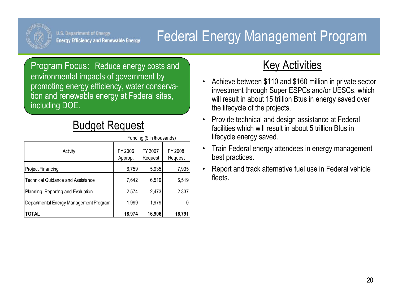

## Federal Energy Management Program

Program Focus: Reduce energy costs and environmental impacts of government by promoting energy efficiency, water conservation and renewable energy at Federal sites, including DOE.

#### Budget Request

|                                          | Funding (\$ in mousands) |                    |                    |
|------------------------------------------|--------------------------|--------------------|--------------------|
| Activity                                 | FY 2006<br>Approp.       | FY 2007<br>Request | FY 2008<br>Request |
| Project Financing                        | 6,759                    | 5,935              | 7,935              |
| <b>Technical Guidance and Assistance</b> | 7,642                    | 6,519              | 6,519              |
| Planning, Reporting and Evaluation       | 2,574                    | 2,473              | 2,337              |
| Departmental Energy Management Program   | 1,999                    | 1,979              |                    |
| <b>TOTAL</b>                             | 18,974                   | 16,906             | 16,791             |

Funding (\$ in thousands)

- • Achieve between \$110 and \$160 million in private sector investment through Super ESPCs and/or UESCs, which will result in about 15 trillion Btus in energy saved over the lifecycle of the projects.
- • Provide technical and design assistance at Federal facilities which will result in about 5 trillion Btus in lifecycle energy saved.
- • Train Federal energy attendees in energy management best practices.
- • Report and track alternative fuel use in Federal vehicle fleets.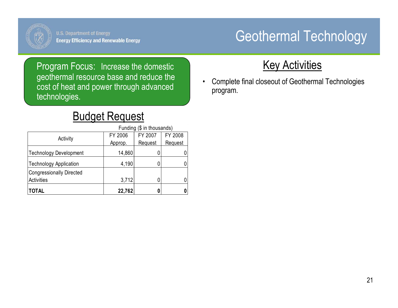

# Geothermal Technology

Program Focus: Increase the domestic geothermal resource base and reduce the cost of heat and power through advanced technologies.

#### Budget Request

|                                                      | Funding (\$ in thousands) |         |         |
|------------------------------------------------------|---------------------------|---------|---------|
| Activity                                             | FY 2006                   | FY 2007 | FY 2008 |
|                                                      | Approp.                   | Request | Request |
| Technology Development                               | 14,860                    |         |         |
| <b>Technology Application</b>                        | 4,190                     |         |         |
| <b>Congressionally Directed</b><br><b>Activities</b> | 3,712                     |         |         |
| <b>TOTAL</b>                                         | 22,762                    |         |         |

#### **Key Activities**

• Complete final closeout of Geothermal Technologies program.